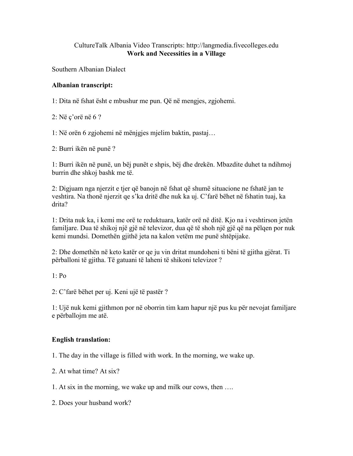## CultureTalk Albania Video Transcripts: http://langmedia.fivecolleges.edu Work and Necessities in a Village

Southern Albanian Dialect

## Albanian transcript:

1: Dita në fshat ësht e mbushur me pun. Që në mengjes, zgjohemi.

2: Në ç'orë në 6 ?

1: Në orën 6 zgjohemi në mënjgjes mjelim baktin, pastaj…

2: Burri ikën në punë ?

1: Burri ikën në punë, un bëj punët e shpis, bëj dhe drekën. Mbazdite duhet ta ndihmoj burrin dhe shkoj bashk me të.

2: Digjuam nga njerzit e tjer që banojn në fshat që shumë situacione ne fshatë jan te veshtira. Na thonë njerzit qe s'ka dritë dhe nuk ka uj. C'farë bëhet në fshatin tuaj, ka drita?

1: Drita nuk ka, i kemi me orë te reduktuara, katër orë në ditë. Kjo na i veshtirson jetën familjare. Dua të shikoj një gjë në televizor, dua që të shoh një gjë që na pëlqen por nuk kemi mundsi. Domethën gjithë jeta na kalon vetëm me punë shtëpijake.

2: Dhe domethën në keto katër or qe ju vin dritat mundoheni ti bëni të gjitha gjërat. Ti përballoni të gjitha. Të gatuani të laheni të shikoni televizor ?

 $1 \cdot Po$ 

2: C'farë bëhet per uj. Keni ujë të pastër ?

1: Ujë nuk kemi gjithmon por në oborrin tim kam hapur një pus ku për nevojat familjare e përballojm me atë.

## English translation:

1. The day in the village is filled with work. In the morning, we wake up.

2. At what time? At six?

1. At six in the morning, we wake up and milk our cows, then ….

2. Does your husband work?